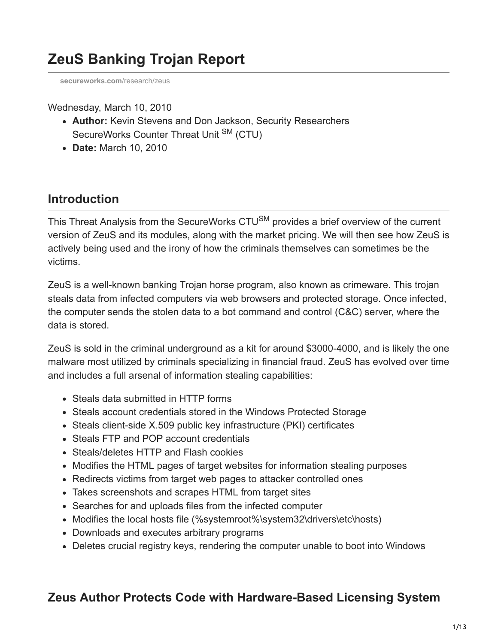# **ZeuS Banking Trojan Report**

**[secureworks.com](https://www.secureworks.com/research/zeus?threat=zeus)**/research/zeus

Wednesday, March 10, 2010

- **Author:** Kevin Stevens and Don Jackson, Security Researchers SecureWorks Counter Threat Unit <sup>SM</sup> (CTU)
- **Date:** March 10, 2010

## **Introduction**

This Threat Analysis from the SecureWorks CTU<sup>SM</sup> provides a brief overview of the current version of ZeuS and its modules, along with the market pricing. We will then see how ZeuS is actively being used and the irony of how the criminals themselves can sometimes be the victims.

ZeuS is a well-known banking Trojan horse program, also known as crimeware. This trojan steals data from infected computers via web browsers and protected storage. Once infected, the computer sends the stolen data to a bot command and control (C&C) server, where the data is stored.

ZeuS is sold in the criminal underground as a kit for around \$3000-4000, and is likely the one malware most utilized by criminals specializing in financial fraud. ZeuS has evolved over time and includes a full arsenal of information stealing capabilities:

- Steals data submitted in HTTP forms
- Steals account credentials stored in the Windows Protected Storage
- Steals client-side X.509 public key infrastructure (PKI) certificates
- Steals FTP and POP account credentials
- Steals/deletes HTTP and Flash cookies
- Modifies the HTML pages of target websites for information stealing purposes
- Redirects victims from target web pages to attacker controlled ones
- Takes screenshots and scrapes HTML from target sites
- Searches for and uploads files from the infected computer
- Modifies the local hosts file (%systemroot%\system32\drivers\etc\hosts)
- Downloads and executes arbitrary programs
- Deletes crucial registry keys, rendering the computer unable to boot into Windows

### **Zeus Author Protects Code with Hardware-Based Licensing System**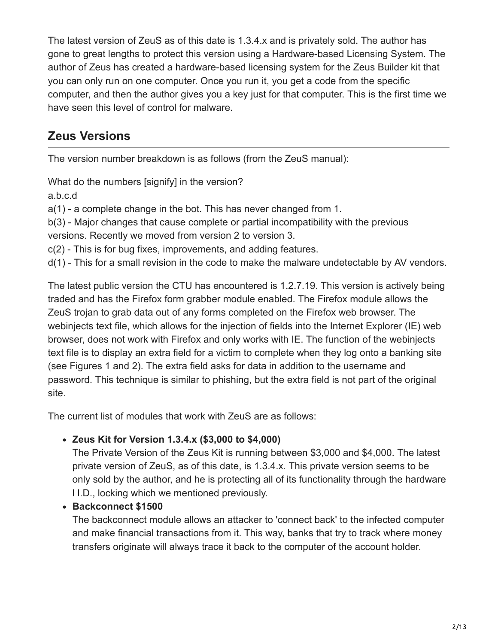The latest version of ZeuS as of this date is 1.3.4.x and is privately sold. The author has gone to great lengths to protect this version using a Hardware-based Licensing System. The author of Zeus has created a hardware-based licensing system for the Zeus Builder kit that you can only run on one computer. Once you run it, you get a code from the specific computer, and then the author gives you a key just for that computer. This is the first time we have seen this level of control for malware.

## **Zeus Versions**

The version number breakdown is as follows (from the ZeuS manual):

What do the numbers [signify] in the version?

a.b.c.d

a(1) - a complete change in the bot. This has never changed from 1.

b(3) - Major changes that cause complete or partial incompatibility with the previous

versions. Recently we moved from version 2 to version 3.

c(2) - This is for bug fixes, improvements, and adding features.

d(1) - This for a small revision in the code to make the malware undetectable by AV vendors.

The latest public version the CTU has encountered is 1.2.7.19. This version is actively being traded and has the Firefox form grabber module enabled. The Firefox module allows the ZeuS trojan to grab data out of any forms completed on the Firefox web browser. The webinjects text file, which allows for the injection of fields into the Internet Explorer (IE) web browser, does not work with Firefox and only works with IE. The function of the webinjects text file is to display an extra field for a victim to complete when they log onto a banking site (see Figures 1 and 2). The extra field asks for data in addition to the username and password. This technique is similar to phishing, but the extra field is not part of the original site.

The current list of modules that work with ZeuS are as follows:

#### **Zeus Kit for Version 1.3.4.x (\$3,000 to \$4,000)**

The Private Version of the Zeus Kit is running between \$3,000 and \$4,000. The latest private version of ZeuS, as of this date, is 1.3.4.x. This private version seems to be only sold by the author, and he is protecting all of its functionality through the hardware l I.D., locking which we mentioned previously.

#### **Backconnect \$1500**

The backconnect module allows an attacker to 'connect back' to the infected computer and make financial transactions from it. This way, banks that try to track where money transfers originate will always trace it back to the computer of the account holder.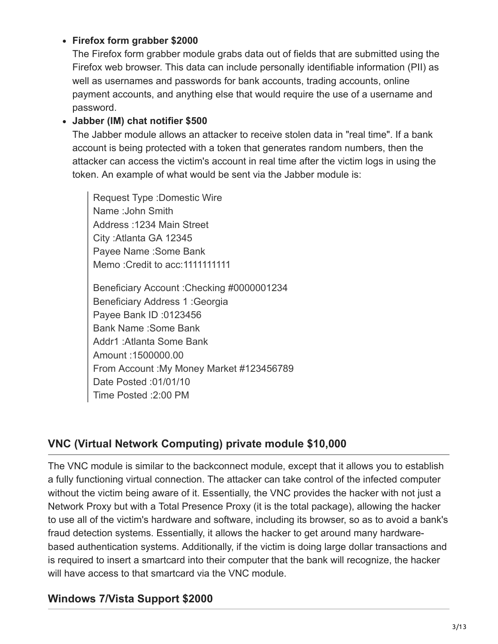#### **Firefox form grabber \$2000**

The Firefox form grabber module grabs data out of fields that are submitted using the Firefox web browser. This data can include personally identifiable information (PII) as well as usernames and passwords for bank accounts, trading accounts, online payment accounts, and anything else that would require the use of a username and password.

#### **Jabber (IM) chat notifier \$500**

The Jabber module allows an attacker to receive stolen data in "real time". If a bank account is being protected with a token that generates random numbers, then the attacker can access the victim's account in real time after the victim logs in using the token. An example of what would be sent via the Jabber module is:

Request Type :Domestic Wire Name :John Smith Address :1234 Main Street City :Atlanta GA 12345 Payee Name :Some Bank Memo :Credit to acc:1111111111

Beneficiary Account :Checking #0000001234 Beneficiary Address 1 :Georgia Payee Bank ID :0123456 Bank Name :Some Bank Addr1 :Atlanta Some Bank Amount :1500000.00 From Account :My Money Market #123456789 Date Posted :01/01/10 Time Posted :2:00 PM

#### **VNC (Virtual Network Computing) private module \$10,000**

The VNC module is similar to the backconnect module, except that it allows you to establish a fully functioning virtual connection. The attacker can take control of the infected computer without the victim being aware of it. Essentially, the VNC provides the hacker with not just a Network Proxy but with a Total Presence Proxy (it is the total package), allowing the hacker to use all of the victim's hardware and software, including its browser, so as to avoid a bank's fraud detection systems. Essentially, it allows the hacker to get around many hardwarebased authentication systems. Additionally, if the victim is doing large dollar transactions and is required to insert a smartcard into their computer that the bank will recognize, the hacker will have access to that smartcard via the VNC module.

#### **Windows 7/Vista Support \$2000**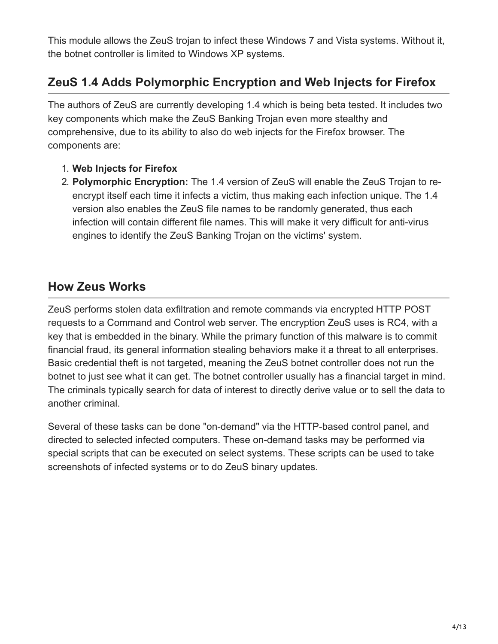This module allows the ZeuS trojan to infect these Windows 7 and Vista systems. Without it, the botnet controller is limited to Windows XP systems.

## **ZeuS 1.4 Adds Polymorphic Encryption and Web Injects for Firefox**

The authors of ZeuS are currently developing 1.4 which is being beta tested. It includes two key components which make the ZeuS Banking Trojan even more stealthy and comprehensive, due to its ability to also do web injects for the Firefox browser. The components are:

- 1. **Web Injects for Firefox**
- 2. **Polymorphic Encryption:** The 1.4 version of ZeuS will enable the ZeuS Trojan to reencrypt itself each time it infects a victim, thus making each infection unique. The 1.4 version also enables the ZeuS file names to be randomly generated, thus each infection will contain different file names. This will make it very difficult for anti-virus engines to identify the ZeuS Banking Trojan on the victims' system.

### **How Zeus Works**

ZeuS performs stolen data exfiltration and remote commands via encrypted HTTP POST requests to a Command and Control web server. The encryption ZeuS uses is RC4, with a key that is embedded in the binary. While the primary function of this malware is to commit financial fraud, its general information stealing behaviors make it a threat to all enterprises. Basic credential theft is not targeted, meaning the ZeuS botnet controller does not run the botnet to just see what it can get. The botnet controller usually has a financial target in mind. The criminals typically search for data of interest to directly derive value or to sell the data to another criminal.

Several of these tasks can be done "on-demand" via the HTTP-based control panel, and directed to selected infected computers. These on-demand tasks may be performed via special scripts that can be executed on select systems. These scripts can be used to take screenshots of infected systems or to do ZeuS binary updates.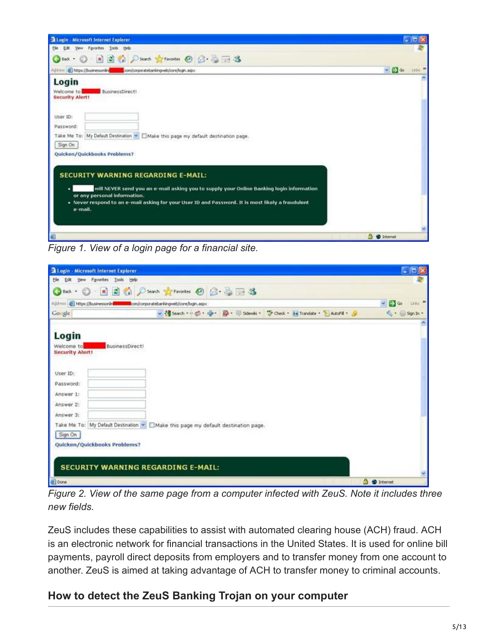| Login - Microsoft Internet Explorer.                                                                                                                                                                                                                                                                                  | $ \Box$                                       |
|-----------------------------------------------------------------------------------------------------------------------------------------------------------------------------------------------------------------------------------------------------------------------------------------------------------------------|-----------------------------------------------|
| Yew Favorites Tools Help<br>Ele<br><b>Ust</b>                                                                                                                                                                                                                                                                         |                                               |
| Bod · ① - ※ ② (a) ① Search greenotes ④ ② 忌 □ 25                                                                                                                                                                                                                                                                       |                                               |
|                                                                                                                                                                                                                                                                                                                       | $\sim$ $\Rightarrow$ $\approx$<br><b>1893</b> |
| Login<br><b>BusinessDirect!</b><br>Welcome to<br><b>Security Alert!</b><br>User ID:<br>Password:<br>Take Me To: My Default Destination M Make this page my default destination page.<br>Sign On                                                                                                                       |                                               |
| Quicken/Quickbooks Problems?<br><b>SECURITY WARNING REGARDING E-MAIL:</b><br>will NEVER send you an e-mail asking you to supply your Online Banking login information<br>or any personal information.<br>. Never respond to an e-mail asking for your User ID and Password. It is most likely a fraudulent<br>e-mail. |                                               |
| Ð                                                                                                                                                                                                                                                                                                                     | <b>3 @ Internet</b>                           |

*Figure 1. View of a login page for a financial site.*

| Login Microsoft Internet Explorer                                                                                          |                                                                                                                                                                         | $\square$ lo $\times$                        |
|----------------------------------------------------------------------------------------------------------------------------|-------------------------------------------------------------------------------------------------------------------------------------------------------------------------|----------------------------------------------|
| Edit Yew Favorites Tools Help<br>File                                                                                      |                                                                                                                                                                         |                                              |
|                                                                                                                            | OBox · ① × 2 ☆ Pserch frances ② ② 意画 3                                                                                                                                  |                                              |
| Address (businessonin and component bomborehingweb/core/login.aspx                                                         |                                                                                                                                                                         | Links <sup>30</sup><br>$\vee$ $\bigoplus$ 60 |
| Google                                                                                                                     | v <g "="" &<="" +="" -="" @="" check="" la="" lautofil="" scienti="" search="" th="" translate=""><th><math>\mathbb{Q}</math> + <math>\bigcirc</math> Sgn In +</th></g> | $\mathbb{Q}$ + $\bigcirc$ Sgn In +           |
| Login<br><b>BusinessDirect!</b><br>Welcome to<br><b>Security Alert!</b><br>User ID:<br>Password:<br>Answer 1:<br>Answer 2: |                                                                                                                                                                         |                                              |
| Answer 3:                                                                                                                  | Take Me To: My Default Destination M IMake this page my default destination page.                                                                                       |                                              |
| Sign On                                                                                                                    |                                                                                                                                                                         |                                              |
| Quicken/Quickbooks Problems?                                                                                               |                                                                                                                                                                         |                                              |
| <b>SECURITY WARNING REGARDING E-MAIL:</b>                                                                                  |                                                                                                                                                                         |                                              |
| al Done                                                                                                                    |                                                                                                                                                                         | 9 <i>D</i> Internet                          |

*Figure 2. View of the same page from a computer infected with ZeuS. Note it includes three new fields.*

ZeuS includes these capabilities to assist with automated clearing house (ACH) fraud. ACH is an electronic network for financial transactions in the United States. It is used for online bill payments, payroll direct deposits from employers and to transfer money from one account to another. ZeuS is aimed at taking advantage of ACH to transfer money to criminal accounts.

## **How to detect the ZeuS Banking Trojan on your computer**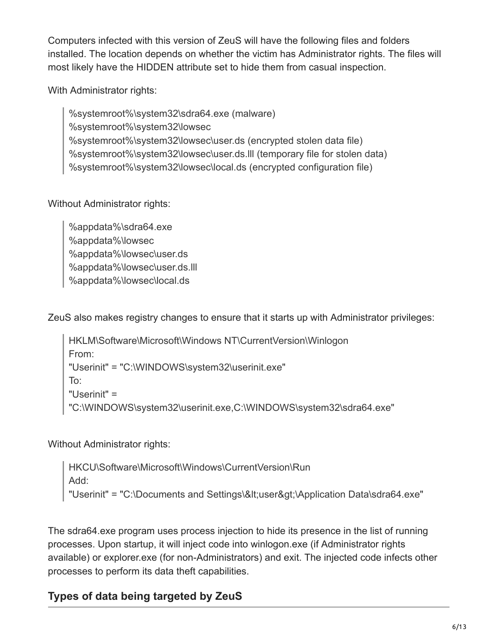Computers infected with this version of ZeuS will have the following files and folders installed. The location depends on whether the victim has Administrator rights. The files will most likely have the HIDDEN attribute set to hide them from casual inspection.

With Administrator rights:

%systemroot%\system32\sdra64.exe (malware) %systemroot%\system32\lowsec %systemroot%\system32\lowsec\user.ds (encrypted stolen data file) %systemroot%\system32\lowsec\user.ds.lll (temporary file for stolen data) %systemroot%\system32\lowsec\local.ds (encrypted configuration file)

Without Administrator rights:

%appdata%\sdra64.exe %appdata%\lowsec %appdata%\lowsec\user.ds %appdata%\lowsec\user.ds.lll %appdata%\lowsec\local.ds

ZeuS also makes registry changes to ensure that it starts up with Administrator privileges:

HKLM\Software\Microsoft\Windows NT\CurrentVersion\Winlogon From: "Userinit" = "C:\WINDOWS\system32\userinit.exe" To: "Userinit" = "C:\WINDOWS\system32\userinit.exe,C:\WINDOWS\system32\sdra64.exe"

Without Administrator rights:

HKCU\Software\Microsoft\Windows\CurrentVersion\Run Add: "Userinit" = "C:\Documents and Settings\<user&gt;\Application Data\sdra64.exe"

The sdra64.exe program uses process injection to hide its presence in the list of running processes. Upon startup, it will inject code into winlogon.exe (if Administrator rights available) or explorer.exe (for non-Administrators) and exit. The injected code infects other processes to perform its data theft capabilities.

### **Types of data being targeted by ZeuS**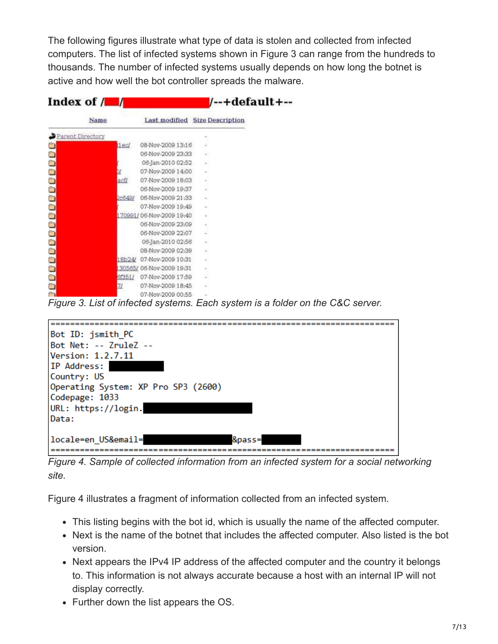The following figures illustrate what type of data is stolen and collected from infected computers. The list of infected systems shown in Figure 3 can range from the hundreds to thousands. The number of infected systems usually depends on how long the botnet is active and how well the bot controller spreads the malware.

| Index of $/ \blacksquare$ |        |                                |                  | /--+default+-- |
|---------------------------|--------|--------------------------------|------------------|----------------|
| Name                      |        | Last modified Size Description |                  |                |
| Parent Directory          |        |                                |                  |                |
|                           | lec    | 08-Nov-2009 13:16              |                  |                |
|                           |        | 06-Nov-2009 23:33              | a5               |                |
|                           |        | 06-Jan-2010 02:52              | $\sim$           |                |
|                           |        | 07-Nov-2009 14:00              | $\mathbb{R}$ .   |                |
|                           | actl   | 07-Nov-2009 18:03              |                  |                |
|                           |        | 06-Nov-2009 19:37              | ₽                |                |
|                           | 2c649/ | 06-Nov-2009 21:33              | w.               |                |
|                           |        | 07-Nov-2009 19:49              |                  |                |
|                           |        | 170991/06-Nov-2009 19:40       | ÷                |                |
|                           |        | 06-Nov-2009 23:09              | ÷                |                |
|                           |        | 06-Nov-2009 22:07              |                  |                |
|                           |        | 06-Jan-2010 02:56              | $\alpha$         |                |
|                           |        | 08-Nov-2009 02:39              | ÷                |                |
|                           |        | 18b24/ 07-Nov-2009 10:31       | $\alpha_{\rm c}$ |                |
|                           |        | 30565/06-Nov-2009 19:31        | ×.               |                |
|                           | 6f351/ | 07-Nov-2009 17:59              |                  |                |
| $\overline{\mathbf{C}}$   |        | 07-Nov-2009 18:45              |                  |                |
|                           |        | 07-Nov-2009 00-55              | $-$              |                |

*Figure 3. List of infected systems. Each system is a folder on the C&C server.*



*Figure 4. Sample of collected information from an infected system for a social networking site.*

Figure 4 illustrates a fragment of information collected from an infected system.

- This listing begins with the bot id, which is usually the name of the affected computer.
- Next is the name of the botnet that includes the affected computer. Also listed is the bot version.
- Next appears the IPv4 IP address of the affected computer and the country it belongs to. This information is not always accurate because a host with an internal IP will not display correctly.
- Further down the list appears the OS.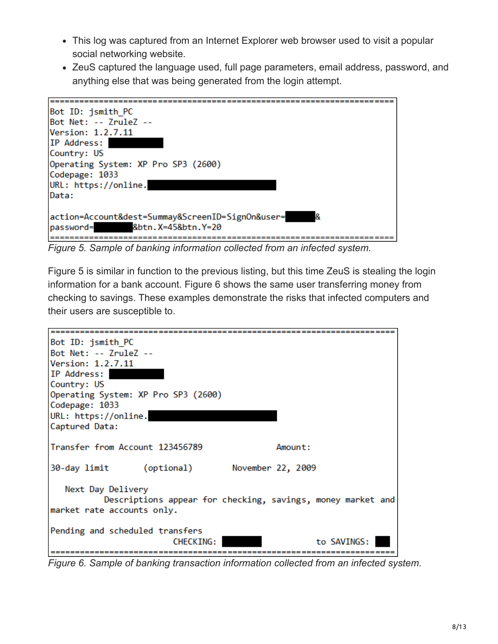- This log was captured from an Internet Explorer web browser used to visit a popular social networking website.
- ZeuS captured the language used, full page parameters, email address, password, and anything else that was being generated from the login attempt.



*Figure 5. Sample of banking information collected from an infected system.*

Figure 5 is similar in function to the previous listing, but this time ZeuS is stealing the login information for a bank account. Figure 6 shows the same user transferring money from checking to savings. These examples demonstrate the risks that infected computers and their users are susceptible to.



*Figure 6. Sample of banking transaction information collected from an infected system.*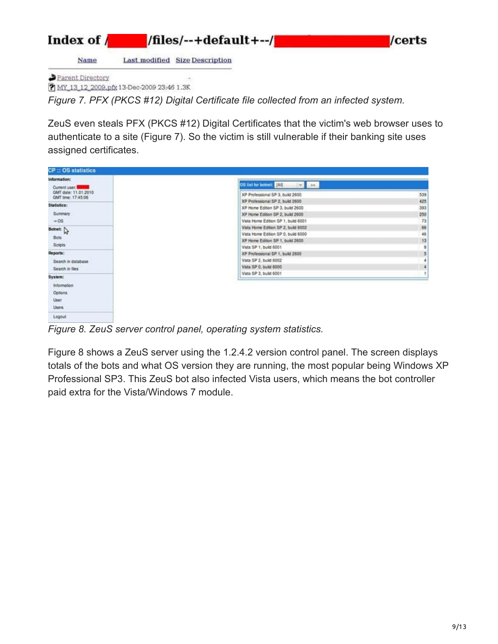

Y MY\_13\_12\_2009.pfg 13-Dec-2009 23:46 1.3K

*Figure 7. PFX (PKCS #12) Digital Certificate file collected from an infected system.*

ZeuS even steals PFX (PKCS #12) Digital Certificates that the victim's web browser uses to authenticate to a site (Figure 7). So the victim is still vulnerable if their banking site uses assigned certificates.

| <b>CP:: OS statistics</b>                                         |                                                                          |            |
|-------------------------------------------------------------------|--------------------------------------------------------------------------|------------|
| Information:                                                      |                                                                          |            |
| Current user: THE R<br>GMT date: 11.01.2010<br>GMT time: 17:45:06 | OS list for botnet: All<br>$\vee$ 30<br>XP Professional SP 3, build 2600 | 539        |
| Statistics:                                                       | XP Professional SP 2, build 2600<br>XP Home Edition SP 3, build 2600     | 425<br>393 |
| Summary                                                           | XP Home Edition SP 2, build 2600                                         | 250        |
| $-05$                                                             | Vista Home Edition SP 1, build 6001                                      | 73         |
| Botnet: $\bigg $                                                  | Vista Home Edition SP 2, build 6002                                      | 66         |
|                                                                   | Vista Home Edition SP 0, build 6000                                      | 46         |
| Bots:                                                             | XP Home Edition SP 1, build 2600                                         | 13         |
| <b>Scripts</b>                                                    | Vista SP 1, build 6001                                                   | 8          |
| Reports:                                                          | XP Professional SP 1, build 2600                                         | 5          |
| Search in database                                                | Vista SP 2, build 6002                                                   |            |
| Search in files                                                   | Vista SP 0, build 6000                                                   | 4          |
| System:                                                           | Vista SP 3, build 6001                                                   |            |
|                                                                   |                                                                          |            |
| Information                                                       |                                                                          |            |
| Options                                                           |                                                                          |            |
| User                                                              |                                                                          |            |
| Users                                                             |                                                                          |            |
| Logout                                                            |                                                                          |            |

*Figure 8. ZeuS server control panel, operating system statistics.*

Figure 8 shows a ZeuS server using the 1.2.4.2 version control panel. The screen displays totals of the bots and what OS version they are running, the most popular being Windows XP Professional SP3. This ZeuS bot also infected Vista users, which means the bot controller paid extra for the Vista/Windows 7 module.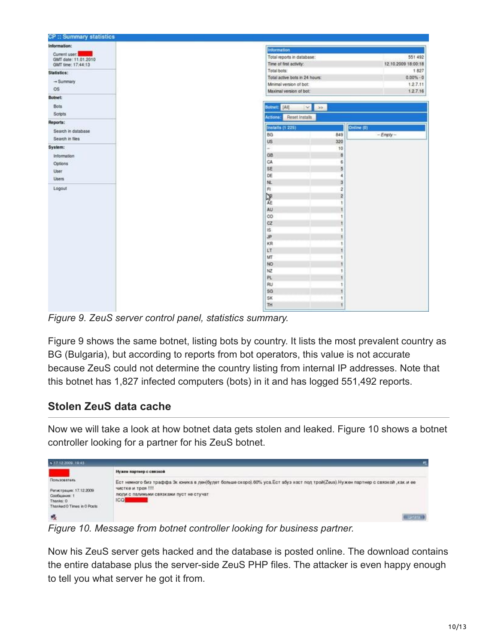| <b>CP:: Summary statistics</b>             |                                   |                      |                     |
|--------------------------------------------|-----------------------------------|----------------------|---------------------|
| Information:                               | <b>Information</b>                |                      |                     |
| Current user:                              | Total reports in database:        |                      | 551 492             |
| GMT date: 11.01.2010<br>GMT time: 17:44:13 | Time of first activity:           |                      | 12.10.2009 18:00:18 |
|                                            | Total bots:                       |                      | 1827                |
| Statistics:                                | Total active bots in 24 hours:    |                      | $0.00\% - 0$        |
| $\rightarrow$ Summary                      | Mnimal version of bot:            |                      | 1,2.7.11            |
| OS:                                        | Maximal version of bot:           |                      | 1.2.7.16            |
| <b>Botnet:</b>                             |                                   |                      |                     |
| Bots                                       | Botnet: [All]<br>$\sim$           | $30 -$               |                     |
| Scripts                                    |                                   |                      |                     |
| Reports:                                   | Actions:<br><b>Reset Installs</b> |                      |                     |
| Search in database                         | Installs (1 225)                  | Online (0)           |                     |
|                                            | BG                                | 849                  | $-Empy-$            |
| Search in files                            | US.                               | 320                  |                     |
| System:                                    | ÷                                 | 10                   |                     |
| Information                                | GB                                | B                    |                     |
| Options                                    | CA                                | 6                    |                     |
| User                                       | SE                                | $\overline{5}$       |                     |
| Users                                      | DE                                | 4                    |                     |
|                                            | NL.                               | 3                    |                     |
| Logout                                     | F1                                | $\overline{2}$       |                     |
|                                            | 隆                                 | 2                    |                     |
|                                            |                                   | t                    |                     |
|                                            | AU                                |                      |                     |
|                                            | co                                | $\ddot{\phantom{1}}$ |                     |
|                                            | cz                                |                      |                     |
|                                            | 1Ŝ<br><b>JP</b>                   |                      |                     |
|                                            | KR                                | $\ddot{\tau}$        |                     |
|                                            | LT                                |                      |                     |
|                                            | MT                                |                      |                     |
|                                            | NO                                |                      |                     |
|                                            | NZ                                | ٠                    |                     |
|                                            | PL                                |                      |                     |
|                                            | RU                                |                      |                     |
|                                            | SG                                |                      |                     |
|                                            | SK                                | ٠                    |                     |
|                                            | TH                                | $\mathbf{t}$         |                     |

*Figure 9. ZeuS server control panel, statistics summary.*

Figure 9 shows the same botnet, listing bots by country. It lists the most prevalent country as BG (Bulgaria), but according to reports from bot operators, this value is not accurate because ZeuS could not determine the country listing from internal IP addresses. Note that this botnet has 1,827 infected computers (bots) in it and has logged 551,492 reports.

### **Stolen ZeuS data cache**

Now we will take a look at how botnet data gets stolen and leaked. Figure 10 shows a botnet controller looking for a partner for his ZeuS botnet.



*Figure 10. Message from botnet controller looking for business partner.*

Now his ZeuS server gets hacked and the database is posted online. The download contains the entire database plus the server-side ZeuS PHP files. The attacker is even happy enough to tell you what server he got it from.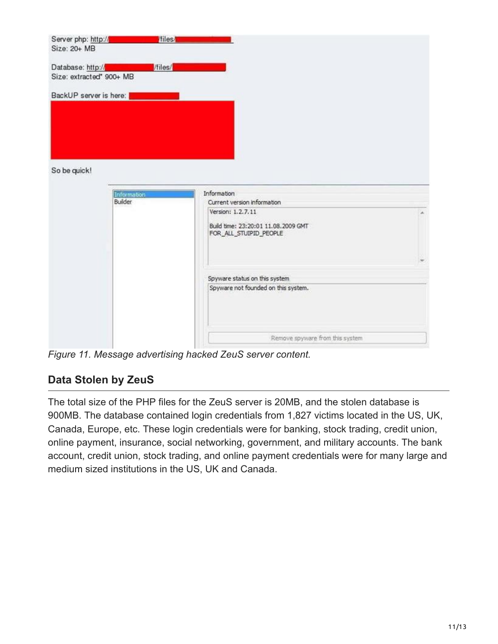

*Figure 11. Message advertising hacked ZeuS server content.*

#### **Data Stolen by ZeuS**

The total size of the PHP files for the ZeuS server is 20MB, and the stolen database is 900MB. The database contained login credentials from 1,827 victims located in the US, UK, Canada, Europe, etc. These login credentials were for banking, stock trading, credit union, online payment, insurance, social networking, government, and military accounts. The bank account, credit union, stock trading, and online payment credentials were for many large and medium sized institutions in the US, UK and Canada.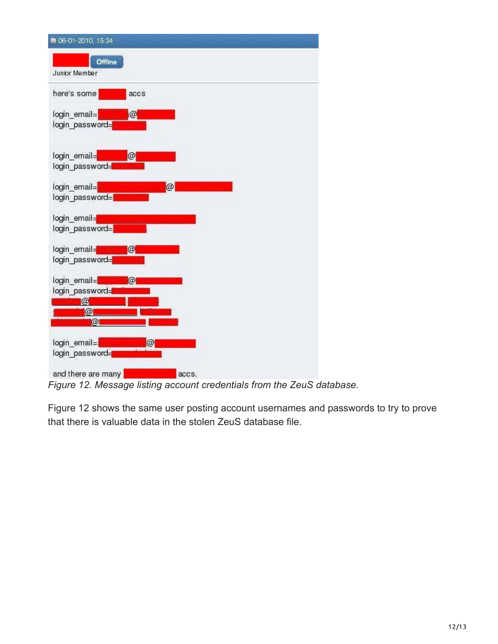

*Figure 12. Message listing account credentials from the ZeuS database.*

Figure 12 shows the same user posting account usernames and passwords to try to prove that there is valuable data in the stolen ZeuS database file.